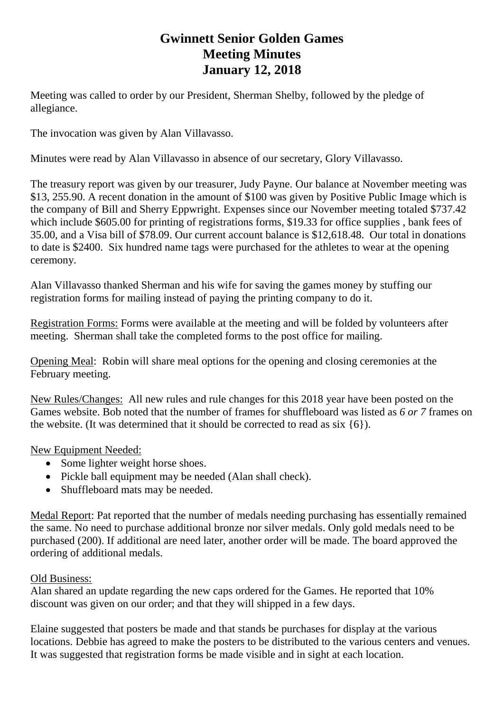## **Gwinnett Senior Golden Games Meeting Minutes January 12, 2018**

Meeting was called to order by our President, Sherman Shelby, followed by the pledge of allegiance.

The invocation was given by Alan Villavasso.

Minutes were read by Alan Villavasso in absence of our secretary, Glory Villavasso.

The treasury report was given by our treasurer, Judy Payne. Our balance at November meeting was \$13, 255.90. A recent donation in the amount of \$100 was given by Positive Public Image which is the company of Bill and Sherry Eppwright. Expenses since our November meeting totaled \$737.42 which include \$605.00 for printing of registrations forms, \$19.33 for office supplies, bank fees of 35.00, and a Visa bill of \$78.09. Our current account balance is \$12,618.48. Our total in donations to date is \$2400. Six hundred name tags were purchased for the athletes to wear at the opening ceremony.

Alan Villavasso thanked Sherman and his wife for saving the games money by stuffing our registration forms for mailing instead of paying the printing company to do it.

Registration Forms: Forms were available at the meeting and will be folded by volunteers after meeting. Sherman shall take the completed forms to the post office for mailing.

Opening Meal: Robin will share meal options for the opening and closing ceremonies at the February meeting.

New Rules/Changes: All new rules and rule changes for this 2018 year have been posted on the Games website. Bob noted that the number of frames for shuffleboard was listed as *6 or 7* frames on the website. (It was determined that it should be corrected to read as six {6}).

New Equipment Needed:

- Some lighter weight horse shoes.
- Pickle ball equipment may be needed (Alan shall check).
- Shuffleboard mats may be needed.

Medal Report: Pat reported that the number of medals needing purchasing has essentially remained the same. No need to purchase additional bronze nor silver medals. Only gold medals need to be purchased (200). If additional are need later, another order will be made. The board approved the ordering of additional medals.

## Old Business:

Alan shared an update regarding the new caps ordered for the Games. He reported that 10% discount was given on our order; and that they will shipped in a few days.

Elaine suggested that posters be made and that stands be purchases for display at the various locations. Debbie has agreed to make the posters to be distributed to the various centers and venues. It was suggested that registration forms be made visible and in sight at each location.